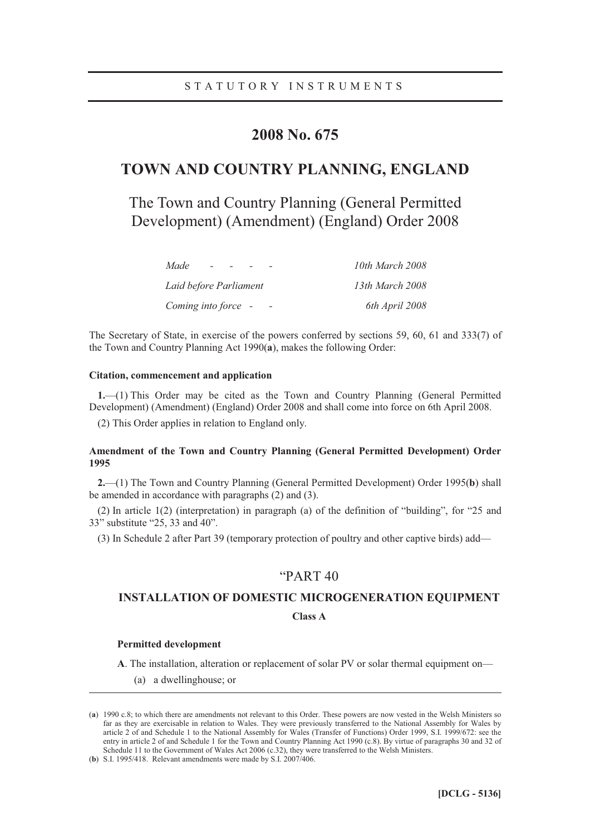# **2008 No. 675**

# **TOWN AND COUNTRY PLANNING, ENGLAND**

The Town and Country Planning (General Permitted Development) (Amendment) (England) Order 2008

| Made                   | 10th March 2008 |
|------------------------|-----------------|
| Laid before Parliament | 13th March 2008 |
| Coming into force -    | 6th April 2008  |

The Secretary of State, in exercise of the powers conferred by sections 59, 60, 61 and 333(7) of the Town and Country Planning Act 1990(**a**), makes the following Order:

## **Citation, commencement and application**

**1.**—(1) This Order may be cited as the Town and Country Planning (General Permitted Development) (Amendment) (England) Order 2008 and shall come into force on 6th April 2008.

(2) This Order applies in relation to England only.

## **Amendment of the Town and Country Planning (General Permitted Development) Order 1995**

**2.**—(1) The Town and Country Planning (General Permitted Development) Order 1995(**b**) shall be amended in accordance with paragraphs (2) and (3).

(2) In article 1(2) (interpretation) in paragraph (a) of the definition of "building", for "25 and 33" substitute "25, 33 and 40".

(3) In Schedule 2 after Part 39 (temporary protection of poultry and other captive birds) add—

## "PART 40

## **INSTALLATION OF DOMESTIC MICROGENERATION EQUIPMENT**

## **Class A**

#### **Permitted development**

-

**A**. The installation, alteration or replacement of solar PV or solar thermal equipment on—

(a) a dwellinghouse; or

<sup>(</sup>**a**) 1990 c.8; to which there are amendments not relevant to this Order. These powers are now vested in the Welsh Ministers so far as they are exercisable in relation to Wales. They were previously transferred to the National Assembly for Wales by article 2 of and Schedule 1 to the National Assembly for Wales (Transfer of Functions) Order 1999, S.I. 1999/672: see the entry in article 2 of and Schedule 1 for the Town and Country Planning Act 1990 (c.8). By virtue of paragraphs 30 and 32 of Schedule 11 to the Government of Wales Act 2006 (c.32), they were transferred to the Welsh Ministers.

<sup>(</sup>**b**) S.I. 1995/418. Relevant amendments were made by S.I. 2007/406.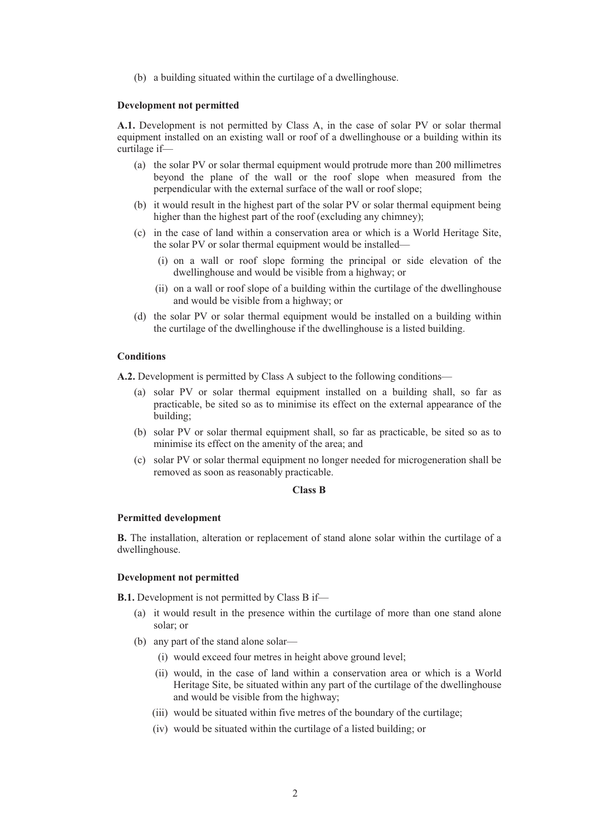(b) a building situated within the curtilage of a dwellinghouse.

#### **Development not permitted**

**A.1.** Development is not permitted by Class A, in the case of solar PV or solar thermal equipment installed on an existing wall or roof of a dwellinghouse or a building within its curtilage if—

- (a) the solar PV or solar thermal equipment would protrude more than 200 millimetres beyond the plane of the wall or the roof slope when measured from the perpendicular with the external surface of the wall or roof slope;
- (b) it would result in the highest part of the solar PV or solar thermal equipment being higher than the highest part of the roof (excluding any chimney);
- (c) in the case of land within a conservation area or which is a World Heritage Site, the solar PV or solar thermal equipment would be installed—
	- (i) on a wall or roof slope forming the principal or side elevation of the dwellinghouse and would be visible from a highway; or
	- (ii) on a wall or roof slope of a building within the curtilage of the dwellinghouse and would be visible from a highway; or
- (d) the solar PV or solar thermal equipment would be installed on a building within the curtilage of the dwellinghouse if the dwellinghouse is a listed building.

## **Conditions**

**A.2.** Development is permitted by Class A subject to the following conditions—

- (a) solar PV or solar thermal equipment installed on a building shall, so far as practicable, be sited so as to minimise its effect on the external appearance of the building;
- (b) solar PV or solar thermal equipment shall, so far as practicable, be sited so as to minimise its effect on the amenity of the area; and
- (c) solar PV or solar thermal equipment no longer needed for microgeneration shall be removed as soon as reasonably practicable.

## **Class B**

#### **Permitted development**

**B.** The installation, alteration or replacement of stand alone solar within the curtilage of a dwellinghouse.

#### **Development not permitted**

**B.1.** Development is not permitted by Class B if—

- (a) it would result in the presence within the curtilage of more than one stand alone solar; or
- (b) any part of the stand alone solar—
	- (i) would exceed four metres in height above ground level;
	- (ii) would, in the case of land within a conservation area or which is a World Heritage Site, be situated within any part of the curtilage of the dwellinghouse and would be visible from the highway;
	- (iii) would be situated within five metres of the boundary of the curtilage;
	- (iv) would be situated within the curtilage of a listed building; or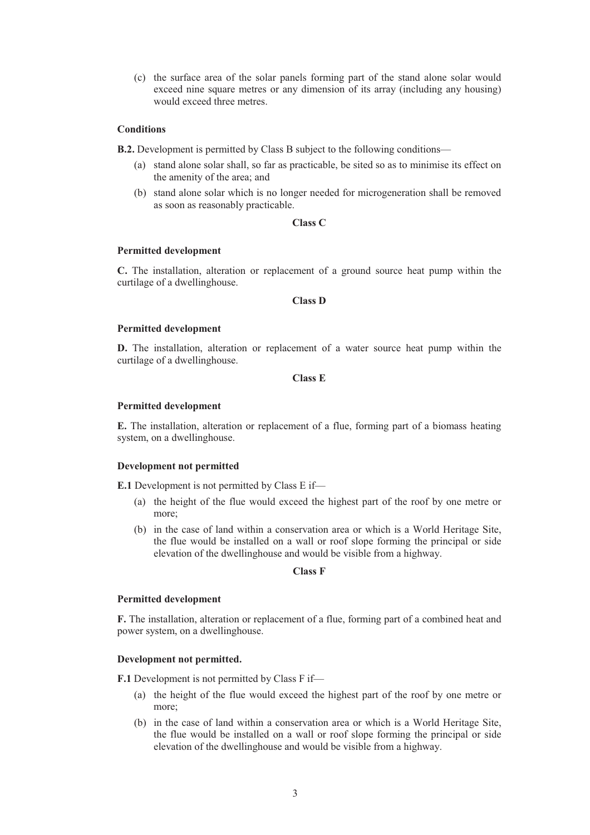(c) the surface area of the solar panels forming part of the stand alone solar would exceed nine square metres or any dimension of its array (including any housing) would exceed three metres.

## **Conditions**

**B.2.** Development is permitted by Class B subject to the following conditions—

- (a) stand alone solar shall, so far as practicable, be sited so as to minimise its effect on the amenity of the area; and
- (b) stand alone solar which is no longer needed for microgeneration shall be removed as soon as reasonably practicable.

## **Class C**

#### **Permitted development**

**C.** The installation, alteration or replacement of a ground source heat pump within the curtilage of a dwellinghouse.

**Class D** 

#### **Permitted development**

**D.** The installation, alteration or replacement of a water source heat pump within the curtilage of a dwellinghouse.

**Class E** 

#### **Permitted development**

**E.** The installation, alteration or replacement of a flue, forming part of a biomass heating system, on a dwellinghouse.

## **Development not permitted**

**E.1** Development is not permitted by Class E if—

- (a) the height of the flue would exceed the highest part of the roof by one metre or more;
- (b) in the case of land within a conservation area or which is a World Heritage Site, the flue would be installed on a wall or roof slope forming the principal or side elevation of the dwellinghouse and would be visible from a highway.

## **Class F**

#### **Permitted development**

**F.** The installation, alteration or replacement of a flue, forming part of a combined heat and power system, on a dwellinghouse.

## **Development not permitted.**

**F.1** Development is not permitted by Class F if—

- (a) the height of the flue would exceed the highest part of the roof by one metre or more;
- (b) in the case of land within a conservation area or which is a World Heritage Site, the flue would be installed on a wall or roof slope forming the principal or side elevation of the dwellinghouse and would be visible from a highway.